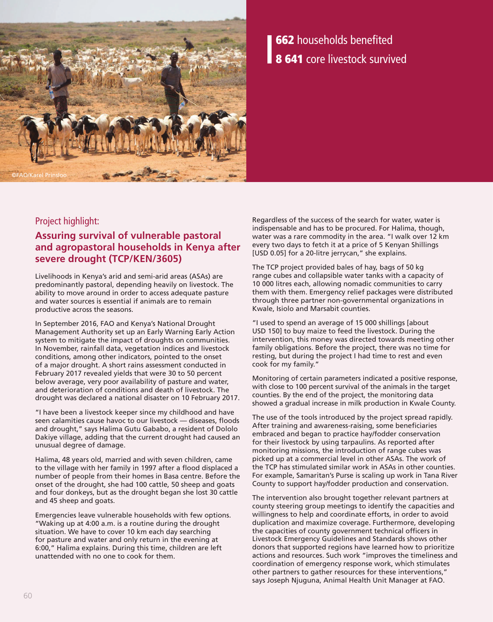

# 662 households benefited 8 641 core livestock survived

## Project highlight:

# **Assuring survival of vulnerable pastoral and agropastoral households in Kenya after severe drought (TCP/KEN/3605)**

Livelihoods in Kenya's arid and semi-arid areas (ASAs) are predominantly pastoral, depending heavily on livestock. The ability to move around in order to access adequate pasture and water sources is essential if animals are to remain productive across the seasons.

In September 2016, FAO and Kenya's National Drought Management Authority set up an Early Warning Early Action system to mitigate the impact of droughts on communities. In November, rainfall data, vegetation indices and livestock conditions, among other indicators, pointed to the onset of a major drought. A short rains assessment conducted in February 2017 revealed yields that were 30 to 50 percent below average, very poor availability of pasture and water, and deterioration of conditions and death of livestock. The drought was declared a national disaster on 10 February 2017.

"I have been a livestock keeper since my childhood and have seen calamities cause havoc to our livestock — diseases, floods and drought," says Halima Gutu Gababo, a resident of Dololo Dakiye village, adding that the current drought had caused an unusual degree of damage.

Halima, 48 years old, married and with seven children, came to the village with her family in 1997 after a flood displaced a number of people from their homes in Basa centre. Before the onset of the drought, she had 100 cattle, 50 sheep and goats and four donkeys, but as the drought began she lost 30 cattle and 45 sheep and goats.

Emergencies leave vulnerable households with few options. "Waking up at 4:00 a.m. is a routine during the drought situation. We have to cover 10 km each day searching for pasture and water and only return in the evening at 6:00," Halima explains. During this time, children are left unattended with no one to cook for them.

Regardless of the success of the search for water, water is indispensable and has to be procured. For Halima, though, water was a rare commodity in the area. "I walk over 12 km every two days to fetch it at a price of 5 Kenyan Shillings [USD 0.05] for a 20-litre jerrycan," she explains.

The TCP project provided bales of hay, bags of 50 kg range cubes and collapsible water tanks with a capacity of 10 000 litres each, allowing nomadic communities to carry them with them. Emergency relief packages were distributed through three partner non-governmental organizations in Kwale, Isiolo and Marsabit counties.

"I used to spend an average of 15 000 shillings [about USD 150] to buy maize to feed the livestock. During the intervention, this money was directed towards meeting other family obligations. Before the project, there was no time for resting, but during the project I had time to rest and even cook for my family."

Monitoring of certain parameters indicated a positive response, with close to 100 percent survival of the animals in the target counties. By the end of the project, the monitoring data showed a gradual increase in milk production in Kwale County.

The use of the tools introduced by the project spread rapidly. After training and awareness-raising, some beneficiaries embraced and began to practice hay/fodder conservation for their livestock by using tarpaulins. As reported after monitoring missions, the introduction of range cubes was picked up at a commercial level in other ASAs. The work of the TCP has stimulated similar work in ASAs in other counties. For example, Samaritan's Purse is scaling up work in Tana River County to support hay/fodder production and conservation.

The intervention also brought together relevant partners at county steering group meetings to identify the capacities and willingness to help and coordinate efforts, in order to avoid duplication and maximize coverage. Furthermore, developing the capacities of county government technical officers in Livestock Emergency Guidelines and Standards shows other donors that supported regions have learned how to prioritize actions and resources. Such work "improves the timeliness and coordination of emergency response work, which stimulates other partners to gather resources for these interventions," says Joseph Njuguna, Animal Health Unit Manager at FAO.